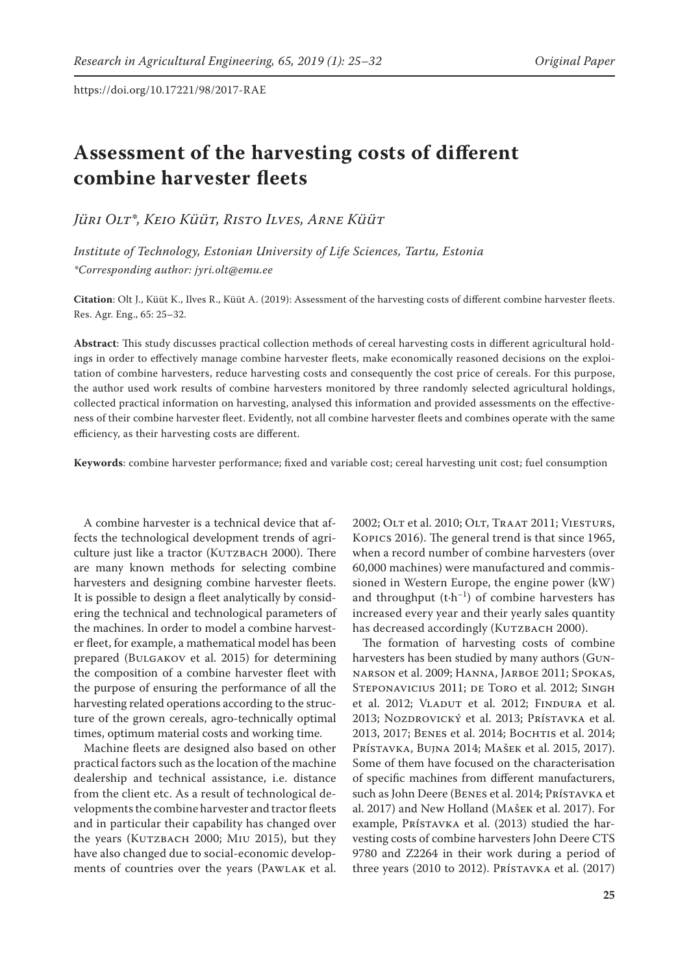# **Assessment of the harvesting costs of different combine harvester fleets**

*Jüri Olt\*, Keio Küüt, Risto Ilves, Arne Küüt*

*Institute of Technology, Estonian University of Life Sciences, Tartu, Estonia \*Corresponding author: jyri.olt@emu.ee*

**Citation**: Olt J., Küüt K., Ilves R., Küüt A. (2019): Assessment of the harvesting costs of different combine harvester fleets. Res. Agr. Eng., 65: 25–32.

**Abstract**: This study discusses practical collection methods of cereal harvesting costs in different agricultural holdings in order to effectively manage combine harvester fleets, make economically reasoned decisions on the exploitation of combine harvesters, reduce harvesting costs and consequently the cost price of cereals. For this purpose, the author used work results of combine harvesters monitored by three randomly selected agricultural holdings, collected practical information on harvesting, analysed this information and provided assessments on the effectiveness of their combine harvester fleet. Evidently, not all combine harvester fleets and combines operate with the same efficiency, as their harvesting costs are different.

**Keywords**: combine harvester performance; fixed and variable cost; cereal harvesting unit cost; fuel consumption

A combine harvester is a technical device that affects the technological development trends of agriculture just like a tractor (KUTZBACH 2000). There are many known methods for selecting combine harvesters and designing combine harvester fleets. It is possible to design a fleet analytically by considering the technical and technological parameters of the machines. In order to model a combine harvester fleet, for example, a mathematical model has been prepared (Bulgakov et al. 2015) for determining the composition of a combine harvester fleet with the purpose of ensuring the performance of all the harvesting related operations according to the structure of the grown cereals, agro-technically optimal times, optimum material costs and working time.

Machine fleets are designed also based on other practical factors such as the location of the machine dealership and technical assistance, i.e. distance from the client etc. As a result of technological developments the combine harvester and tractor fleets and in particular their capability has changed over the years (KUTZBACH 2000; MIU 2015), but they have also changed due to social-economic developments of countries over the years (Pawlak et al.

2002; OLT et al. 2010; OLT, TRAAT 2011; VIESTURS, Kopics 2016). The general trend is that since 1965, when a record number of combine harvesters (over 60,000 machines) were manufactured and commissioned in Western Europe, the engine power (kW) and throughput  $(t \cdot h^{-1})$  of combine harvesters has increased every year and their yearly sales quantity has decreased accordingly (KUTZBACH 2000).

The formation of harvesting costs of combine harvesters has been studied by many authors (Gunnarson et al. 2009; Hanna, Jarboe 2011; Spokas, STEPONAVICIUS 2011; DE TORO et al. 2012; SINGH et al. 2012; VLADUT et al. 2012; FINDURA et al. 2013; Nozdrovický et al. 2013; Prístavka et al. 2013, 2017; Benes et al. 2014; Bochtis et al. 2014; Prístavka, Bujna 2014; Mašek et al. 2015, 2017). Some of them have focused on the characterisation of specific machines from different manufacturers, such as John Deere (Benes et al. 2014; Prístavka et al. 2017) and New Holland (Mašek et al. 2017). For example, Prístavka et al. (2013) studied the harvesting costs of combine harvesters John Deere CTS 9780 and Z2264 in their work during a period of three years (2010 to 2012). Prístavka et al. (2017)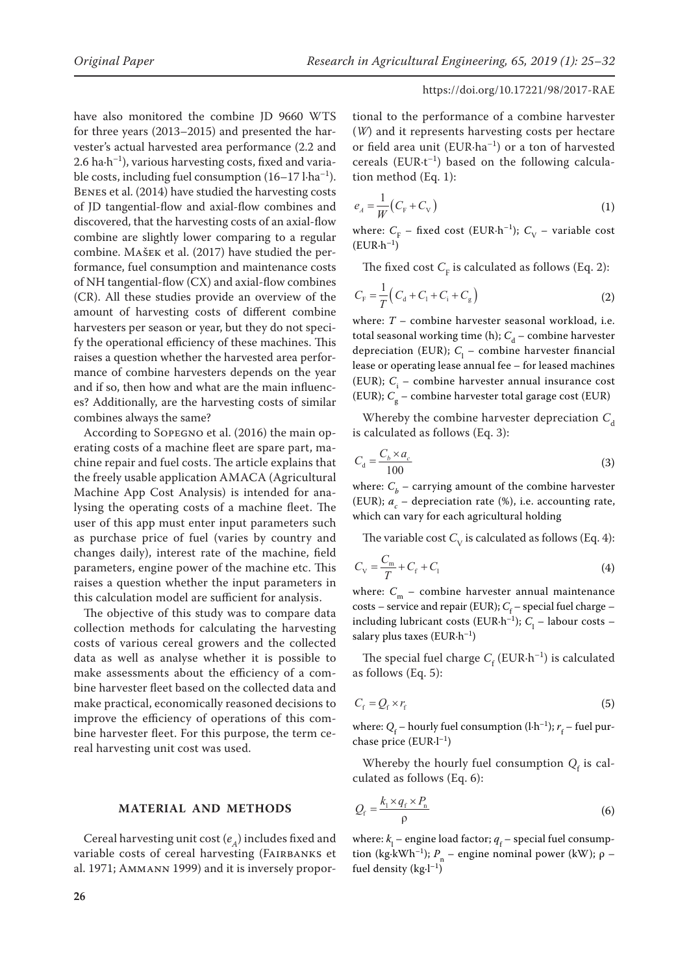have also monitored the combine JD 9660 WTS for three years (2013–2015) and presented the harvester's actual harvested area performance (2.2 and 2.6 ha $\cdot$ h<sup>-1</sup>), various harvesting costs, fixed and variable costs, including fuel consumption  $(16-17 \, \text{l} \cdot \text{ha}^{-1})$ . Benes et al. (2014) have studied the harvesting costs of JD tangential-flow and axial-flow combines and discovered, that the harvesting costs of an axial-flow combine are slightly lower comparing to a regular combine. Mašek et al. (2017) have studied the performance, fuel consumption and maintenance costs of NH tangential-flow (CX) and axial-flow combines (CR). All these studies provide an overview of the amount of harvesting costs of different combine harvesters per season or year, but they do not specify the operational efficiency of these machines. This raises a question whether the harvested area performance of combine harvesters depends on the year and if so, then how and what are the main influences? Additionally, are the harvesting costs of similar combines always the same?

According to Sopegno et al. (2016) the main operating costs of a machine fleet are spare part, machine repair and fuel costs. The article explains that the freely usable application AMACA (Agricultural Machine App Cost Analysis) is intended for analysing the operating costs of a machine fleet. The user of this app must enter input parameters such as purchase price of fuel (varies by country and changes daily), interest rate of the machine, field parameters, engine power of the machine etc. This raises a question whether the input parameters in this calculation model are sufficient for analysis.

The objective of this study was to compare data collection methods for calculating the harvesting costs of various cereal growers and the collected data as well as analyse whether it is possible to make assessments about the efficiency of a combine harvester fleet based on the collected data and make practical, economically reasoned decisions to improve the efficiency of operations of this combine harvester fleet. For this purpose, the term cereal harvesting unit cost was used.

#### **Material and methods**

Cereal harvesting unit cost  $(e_A)$  includes fixed and variable costs of cereal harvesting (FAIRBANKS et al. 1971; Ammann 1999) and it is inversely proportional to the performance of a combine harvester (*W*) and it represents harvesting costs per hectare or field area unit (EUR·ha<sup>-1</sup>) or a ton of harvested cereals (EUR $-t^{-1}$ ) based on the following calculation method (Eq. 1):

$$
e_A = \frac{1}{W} \left( C_{\rm F} + C_{\rm V} \right) \tag{1}
$$

where:  $C_F$  – fixed cost (EUR·h<sup>-1</sup>);  $C_V$  – variable cost  $(EUR \cdot h^{-1})$ 

The fixed cost  $C_F$  is calculated as follows (Eq. 2):

$$
C_{\rm F} = \frac{1}{T} \Big( C_{\rm d} + C_{\rm l} + C_{\rm i} + C_{\rm g} \Big) \tag{2}
$$

where: *T* – combine harvester seasonal workload, i.e. total seasonal working time (h);  $C_{\mathsf{d}}^{\phantom{\dag}}$  – combine harvester depreciation (EUR);  $C_1$  – combine harvester financial lease or operating lease annual fee – for leased machines (EUR);  $C_i$  – combine harvester annual insurance cost (EUR); *C* g – combine harvester total garage cost (EUR)

Whereby the combine harvester depreciation  $C_d$ is calculated as follows (Eq. 3):

$$
C_{\rm d} = \frac{C_b \times a_c}{100} \tag{3}
$$

where:  $C_b$  – carrying amount of the combine harvester (EUR);  $a<sub>c</sub>$  – depreciation rate (%), i.e. accounting rate, which can vary for each agricultural holding

The variable cost  $C_V$  is calculated as follows (Eq. 4):

$$
C_{\rm V} = \frac{C_{\rm m}}{T} + C_{\rm f} + C_{\rm l} \tag{4}
$$

where:  $C_m$  – combine harvester annual maintenance costs – service and repair (EUR);  $C_f$  – special fuel charge – including lubricant costs (EUR $\cdot$ h<sup>-1</sup>);  $C_1$  – labour costs – salary plus taxes ( $EUR·h^{-1}$ )

The special fuel charge  $C_f$  (EUR·h<sup>-1</sup>) is calculated as follows (Eq. 5):

$$
C_{\rm f} = Q_{\rm f} \times r_{\rm f} \tag{5}
$$

where:  $Q_f$  – hourly fuel consumption (l·h<sup>-1</sup>);  $r_f$  – fuel purchase price  $(EUR-I^{-1})$ 

Whereby the hourly fuel consumption  $Q_f$  is calculated as follows (Eq. 6):

$$
Q_{\rm f} = \frac{k_{\rm i} \times q_{\rm f} \times P_{\rm n}}{\rho} \tag{6}
$$

where:  $k_1$  – engine load factor;  $q_f$  – special fuel consumption (kg·kWh<sup>-1</sup>); *P*<sub>n</sub> – engine nominal power (kW); ρ – fuel density (kg·l–1)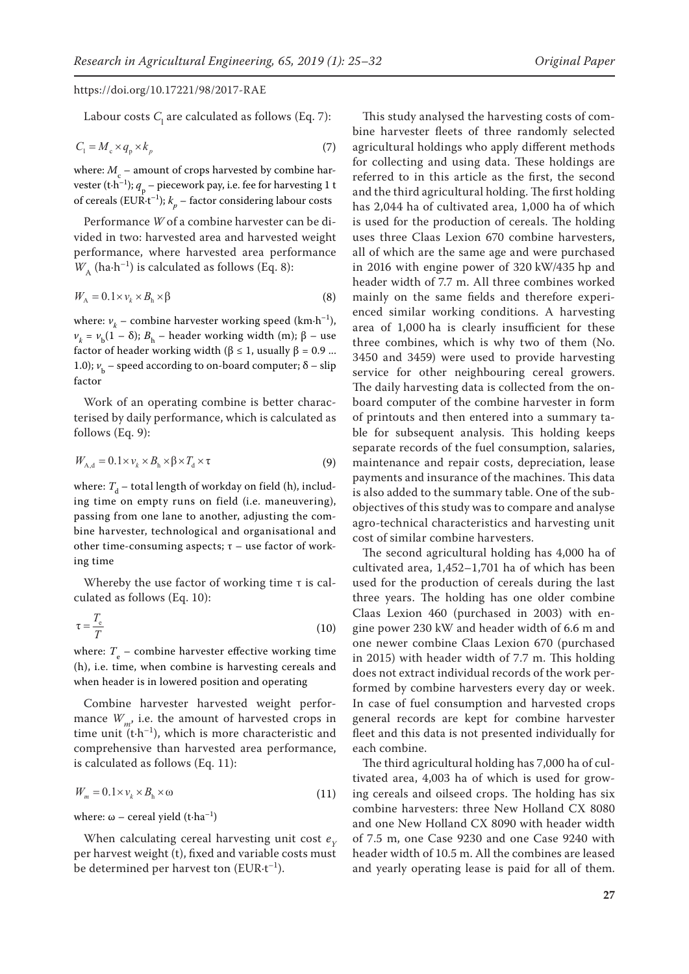Labour costs  $C_{\rm l}$  are calculated as follows (Eq. 7):

$$
C_1 = M_c \times q_p \times k_p \tag{7}
$$

where:  $M_{\rm c}$  – amount of crops harvested by combine harvester (t·h<sup>-1</sup>);  $q_{\text{p}}$  – piecework pay, i.e. fee for harvesting 1 t of cereals (EUR·t<sup>-1</sup>);  $k_p^{}$  – factor considering labour costs

Performance *W* of a combine harvester can be divided in two: harvested area and harvested weight performance, where harvested area performance  $W_{\rm A}$  (ha·h<sup>-1</sup>) is calculated as follows (Eq. 8):

$$
W_{A} = 0.1 \times \nu_{k} \times B_{h} \times \beta
$$
\n(8)

where:  $v_k$  – combine harvester working speed (km·h<sup>-1</sup>),  $v_k = v_b(1 - \delta)$ ; *B*<sub>h</sub> – header working width (m); β – use factor of header working width ( $\beta \le 1$ , usually  $\beta = 0.9$  ... 1.0);  $v<sub>b</sub>$  – speed according to on-board computer; δ – slip factor

Work of an operating combine is better characterised by daily performance, which is calculated as follows (Eq. 9):

$$
W_{A,d} = 0.1 \times \nu_k \times B_h \times \beta \times T_d \times \tau \tag{9}
$$

where:  $T_{\sf d}$  – total length of workday on field (h), including time on empty runs on field (i.e. maneuvering), passing from one lane to another, adjusting the combine harvester, technological and organisational and other time-consuming aspects; τ – use factor of working time

Whereby the use factor of working time  $\tau$  is calculated as follows (Eq. 10):

$$
\tau = \frac{T_e}{T}
$$
 (10)

where:  $T_{\rm e}$  – combine harvester effective working time (h), i.e. time, when combine is harvesting cereals and when header is in lowered position and operating

Combine harvester harvested weight performance  $W_{m}$ , i.e. the amount of harvested crops in time unit  $(t \cdot h^{-1})$ , which is more characteristic and comprehensive than harvested area performance, is calculated as follows (Eq. 11):

$$
W_m = 0.1 \times \nu_k \times B_h \times \omega \tag{11}
$$

where:  $\omega$  – cereal yield (t·ha<sup>-1</sup>)

When calculating cereal harvesting unit cost  $e_y$ per harvest weight (t), fixed and variable costs must be determined per harvest ton  $(EUR \cdot t^{-1})$ .

This study analysed the harvesting costs of combine harvester fleets of three randomly selected agricultural holdings who apply different methods for collecting and using data. These holdings are referred to in this article as the first, the second and the third agricultural holding. The first holding has 2,044 ha of cultivated area, 1,000 ha of which is used for the production of cereals. The holding uses three Claas Lexion 670 combine harvesters, all of which are the same age and were purchased in 2016 with engine power of 320 kW/435 hp and header width of 7.7 m. All three combines worked mainly on the same fields and therefore experienced similar working conditions. A harvesting area of 1,000 ha is clearly insufficient for these three combines, which is why two of them (No. 3450 and 3459) were used to provide harvesting service for other neighbouring cereal growers. The daily harvesting data is collected from the onboard computer of the combine harvester in form of printouts and then entered into a summary table for subsequent analysis. This holding keeps separate records of the fuel consumption, salaries, maintenance and repair costs, depreciation, lease payments and insurance of the machines. This data is also added to the summary table. One of the subobjectives of this study was to compare and analyse agro-technical characteristics and harvesting unit cost of similar combine harvesters.

The second agricultural holding has 4,000 ha of cultivated area, 1,452–1,701 ha of which has been used for the production of cereals during the last three years. The holding has one older combine Claas Lexion 460 (purchased in 2003) with engine power 230 kW and header width of 6.6 m and one newer combine Claas Lexion 670 (purchased in 2015) with header width of 7.7 m. This holding does not extract individual records of the work performed by combine harvesters every day or week. In case of fuel consumption and harvested crops general records are kept for combine harvester fleet and this data is not presented individually for each combine.

The third agricultural holding has 7,000 ha of cultivated area, 4,003 ha of which is used for growing cereals and oilseed crops. The holding has six combine harvesters: three New Holland CX 8080 and one New Holland CX 8090 with header width of 7.5 m, one Case 9230 and one Case 9240 with header width of 10.5 m. All the combines are leased and yearly operating lease is paid for all of them.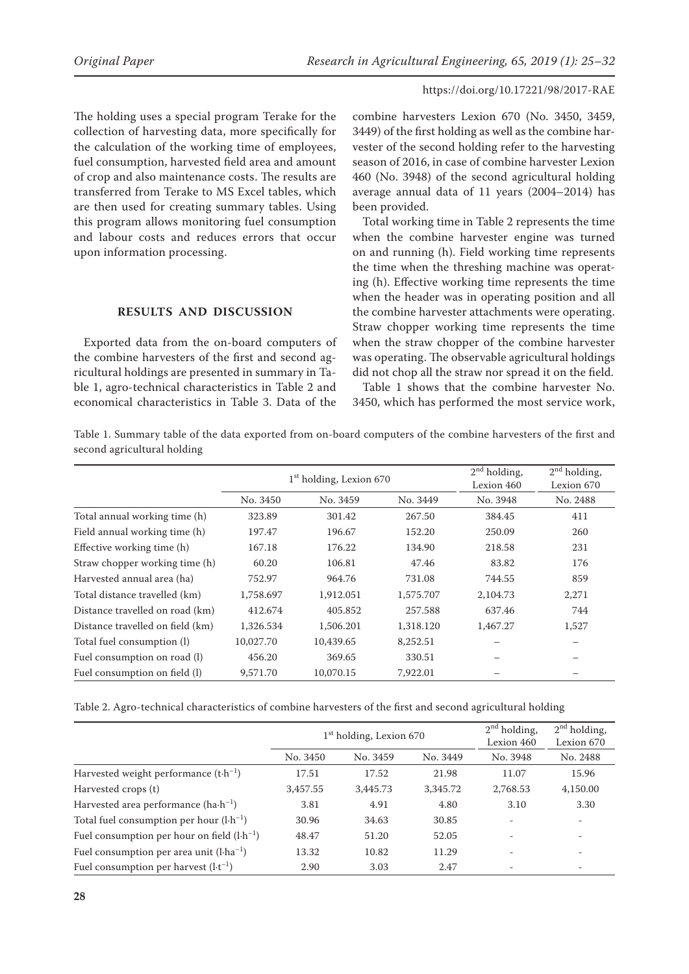The holding uses a special program Terake for the collection of harvesting data, more specifically for the calculation of the working time of employees, fuel consumption, harvested field area and amount of crop and also maintenance costs. The results are transferred from Terake to MS Excel tables, which are then used for creating summary tables. Using this program allows monitoring fuel consumption and labour costs and reduces errors that occur upon information processing.

#### **Results and discussion**

Exported data from the on-board computers of the combine harvesters of the first and second agricultural holdings are presented in summary in Table 1, agro-technical characteristics in Table 2 and economical characteristics in Table 3. Data of the

combine harvesters Lexion 670 (No. 3450, 3459, 3449) of the first holding as well as the combine harvester of the second holding refer to the harvesting season of 2016, in case of combine harvester Lexion 460 (No. 3948) of the second agricultural holding average annual data of 11 years (2004–2014) has been provided.

Total working time in Table 2 represents the time when the combine harvester engine was turned on and running (h). Field working time represents the time when the threshing machine was operating (h). Effective working time represents the time when the header was in operating position and all the combine harvester attachments were operating. Straw chopper working time represents the time when the straw chopper of the combine harvester was operating. The observable agricultural holdings did not chop all the straw nor spread it on the field.

Table 1 shows that the combine harvester No. 3450, which has performed the most service work,

Table 1. Summary table of the data exported from on-board computers of the combine harvesters of the first and second agricultural holding

|                                  | $1st$ holding, Lexion 670 |           |           | $2nd$ holding, | $2nd$ holding, |
|----------------------------------|---------------------------|-----------|-----------|----------------|----------------|
|                                  |                           |           |           | Lexion 460     | Lexion 670     |
|                                  | No. 3450                  | No. 3459  | No. 3449  | No. 3948       | No. 2488       |
| Total annual working time (h)    | 323.89                    | 301.42    | 267.50    | 384.45         | 411            |
| Field annual working time (h)    | 197.47                    | 196.67    | 152.20    | 250.09         | 260            |
| Effective working time (h)       | 167.18                    | 176.22    | 134.90    | 218.58         | 231            |
| Straw chopper working time (h)   | 60.20                     | 106.81    | 47.46     | 83.82          | 176            |
| Harvested annual area (ha)       | 752.97                    | 964.76    | 731.08    | 744.55         | 859            |
| Total distance travelled (km)    | 1,758.697                 | 1,912.051 | 1,575.707 | 2,104.73       | 2,271          |
| Distance travelled on road (km)  | 412.674                   | 405.852   | 257.588   | 637.46         | 744            |
| Distance travelled on field (km) | 1,326.534                 | 1,506.201 | 1,318.120 | 1,467.27       | 1,527          |
| Total fuel consumption (I)       | 10,027.70                 | 10,439.65 | 8,252.51  |                |                |
| Fuel consumption on road (l)     | 456.20                    | 369.65    | 330.51    |                |                |
| Fuel consumption on field (l)    | 9,571.70                  | 10,070.15 | 7,922.01  |                |                |

Table 2. Agro-technical characteristics of combine harvesters of the first and second agricultural holding

|                                                       | $1st$ holding, Lexion 670 |          |          | $2nd$ holding,<br>Lexion 460 | $2nd$ holding,<br>Lexion 670 |
|-------------------------------------------------------|---------------------------|----------|----------|------------------------------|------------------------------|
|                                                       | No. 3450                  | No. 3459 | No. 3449 | No. 3948                     | No. 2488                     |
| Harvested weight performance $(t \cdot h^{-1})$       | 17.51                     | 17.52    | 21.98    | 11.07                        | 15.96                        |
| Harvested crops (t)                                   | 3,457.55                  | 3,445.73 | 3,345.72 | 2,768.53                     | 4,150.00                     |
| Harvested area performance $(ha \cdot h^{-1})$        | 3.81                      | 4.91     | 4.80     | 3.10                         | 3.30                         |
| Total fuel consumption per hour $(l \cdot h^{-1})$    | 30.96                     | 34.63    | 30.85    | $\overline{\phantom{a}}$     |                              |
| Fuel consumption per hour on field $(l \cdot h^{-1})$ | 48.47                     | 51.20    | 52.05    | $\overline{\phantom{a}}$     |                              |
| Fuel consumption per area unit $(l \cdot ha^{-1})$    | 13.32                     | 10.82    | 11.29    | -                            | -                            |
| Fuel consumption per harvest $(l \cdot t^{-1})$       | 2.90                      | 3.03     | 2.47     | $\overline{\phantom{0}}$     | $\overline{\phantom{a}}$     |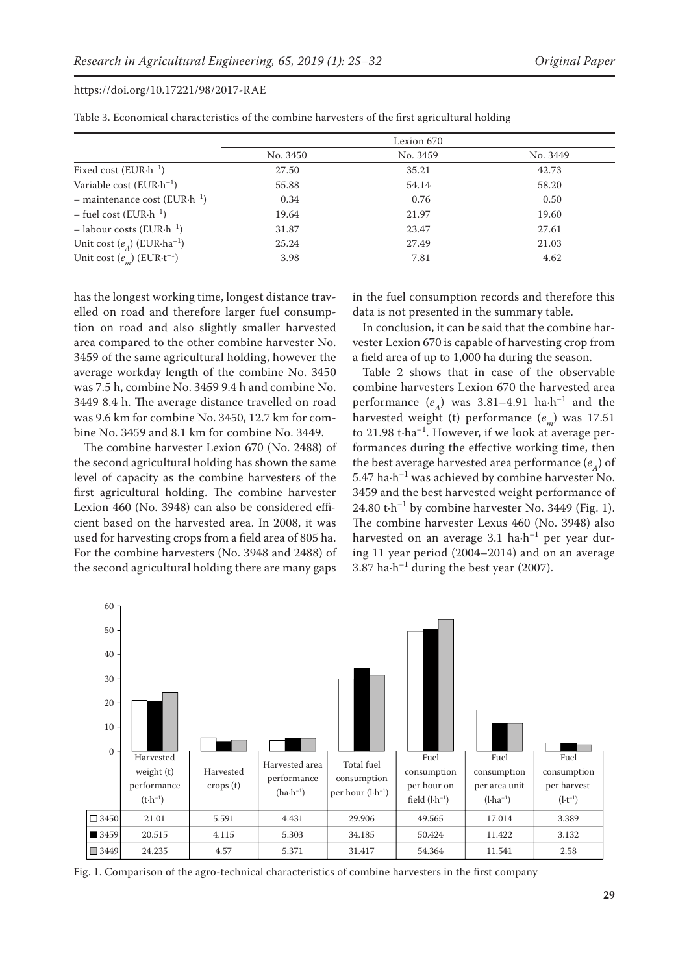|                                                      | Lexion 670 |          |          |  |
|------------------------------------------------------|------------|----------|----------|--|
|                                                      | No. 3450   | No. 3459 | No. 3449 |  |
| Fixed cost $(EUR \cdot h^{-1})$                      | 27.50      | 35.21    | 42.73    |  |
| Variable cost $(EUR \cdot h^{-1})$                   | 55.88      | 54.14    | 58.20    |  |
| - maintenance cost $(EUR \cdot h^{-1})$              | 0.34       | 0.76     | 0.50     |  |
| $-$ fuel cost (EUR $\cdot$ h <sup>-1</sup> )         | 19.64      | 21.97    | 19.60    |  |
| $-$ labour costs (EUR $\cdot$ h <sup>-1</sup> )      | 31.87      | 23.47    | 27.61    |  |
| Unit cost $(e_4)$ (EUR $\cdot$ ha <sup>-1</sup> )    | 25.24      | 27.49    | 21.03    |  |
| Unit cost $(e_{\mu})$ (EUR $\cdot$ t <sup>-1</sup> ) | 3.98       | 7.81     | 4.62     |  |

Table 3. Economical characteristics of the combine harvesters of the first agricultural holding

has the longest working time, longest distance travelled on road and therefore larger fuel consumption on road and also slightly smaller harvested area compared to the other combine harvester No. 3459 of the same agricultural holding, however the average workday length of the combine No. 3450 was 7.5 h, combine No. 3459 9.4 h and combine No. 3449 8.4 h. The average distance travelled on road was 9.6 km for combine No. 3450, 12.7 km for combine No. 3459 and 8.1 km for combine No. 3449.

The combine harvester Lexion 670 (No. 2488) of the second agricultural holding has shown the same level of capacity as the combine harvesters of the first agricultural holding. The combine harvester Lexion 460 (No. 3948) can also be considered efficient based on the harvested area. In 2008, it was used for harvesting crops from a field area of 805 ha. For the combine harvesters (No. 3948 and 2488) of the second agricultural holding there are many gaps

in the fuel consumption records and therefore this data is not presented in the summary table.

In conclusion, it can be said that the combine harvester Lexion 670 is capable of harvesting crop from a field area of up to 1,000 ha during the season.

Table 2 shows that in case of the observable combine harvesters Lexion 670 the harvested area performance  $(e_4)$  was 3.81–4.91 ha·h<sup>-1</sup> and the harvested weight (t) performance (*em*) was 17.51 to 21.98 t·ha<sup>-1</sup>. However, if we look at average performances during the effective working time, then the best average harvested area performance  $(e_4)$  of 5.47 ha $\cdot$ h<sup>-1</sup> was achieved by combine harvester No. 3459 and the best harvested weight performance of 24.80 t $\cdot$ h<sup>-1</sup> by combine harvester No. 3449 (Fig. 1). The combine harvester Lexus 460 (No. 3948) also harvested on an average 3.1 ha $\cdot$ h<sup>-1</sup> per year during 11 year period (2004–2014) and on an average 3.87 ha $\cdot$ h<sup>-1</sup> during the best year (2007).



Fig. 1. Comparison of the agro-technical characteristics of combine harvesters in the first company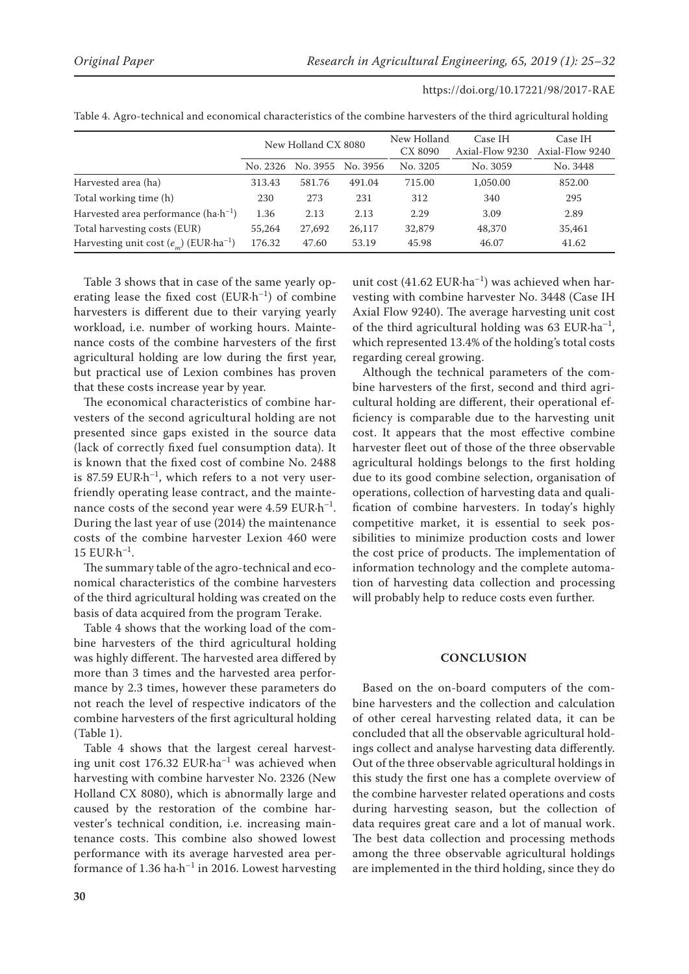|                                                                  | New Holland CX 8080 |          | New Holland<br>CX 8090 | Case IH<br>Axial-Flow 9230 | Case IH<br>Axial-Flow 9240 |          |
|------------------------------------------------------------------|---------------------|----------|------------------------|----------------------------|----------------------------|----------|
|                                                                  | No. 2326            | No. 3955 | No. 3956               | No. 3205                   | No. 3059                   | No. 3448 |
| Harvested area (ha)                                              | 313.43              | 581.76   | 491.04                 | 715.00                     | 1,050.00                   | 852.00   |
| Total working time (h)                                           | 230                 | 273      | 231                    | 312                        | 340                        | 295      |
| Harvested area performance ( $ha \cdot h^{-1}$ )                 | 1.36                | 2.13     | 2.13                   | 2.29                       | 3.09                       | 2.89     |
| Total harvesting costs (EUR)                                     | 55,264              | 27,692   | 26,117                 | 32,879                     | 48,370                     | 35,461   |
| Harvesting unit cost $(e_{\mu})$ (EUR $\cdot$ ha <sup>-1</sup> ) | 176.32              | 47.60    | 53.19                  | 45.98                      | 46.07                      | 41.62    |

Table 4. Agro-technical and economical characteristics of the combine harvesters of the third agricultural holding

Table 3 shows that in case of the same yearly operating lease the fixed cost  $(EUR \cdot h^{-1})$  of combine harvesters is different due to their varying yearly workload, i.e. number of working hours. Maintenance costs of the combine harvesters of the first agricultural holding are low during the first year, but practical use of Lexion combines has proven that these costs increase year by year.

The economical characteristics of combine harvesters of the second agricultural holding are not presented since gaps existed in the source data (lack of correctly fixed fuel consumption data). It is known that the fixed cost of combine No. 2488 is 87.59 EUR $\cdot$ h<sup>-1</sup>, which refers to a not very userfriendly operating lease contract, and the maintenance costs of the second year were 4.59 EUR·h<sup>-1</sup>. During the last year of use (2014) the maintenance costs of the combine harvester Lexion 460 were  $15$  EUR $\cdot$ h $^{-1}$ .

The summary table of the agro-technical and economical characteristics of the combine harvesters of the third agricultural holding was created on the basis of data acquired from the program Terake.

Table 4 shows that the working load of the combine harvesters of the third agricultural holding was highly different. The harvested area differed by more than 3 times and the harvested area performance by 2.3 times, however these parameters do not reach the level of respective indicators of the combine harvesters of the first agricultural holding (Table 1).

Table 4 shows that the largest cereal harvesting unit cost 176.32 EUR·ha–1 was achieved when harvesting with combine harvester No. 2326 (New Holland CX 8080), which is abnormally large and caused by the restoration of the combine harvester's technical condition, i.e. increasing maintenance costs. This combine also showed lowest performance with its average harvested area performance of  $1.36$  ha $\cdot$ h<sup>-1</sup> in 2016. Lowest harvesting

unit cost (41.62  $EUR·ha^{-1}$ ) was achieved when harvesting with combine harvester No. 3448 (Case IH Axial Flow 9240). The average harvesting unit cost of the third agricultural holding was 63 EUR $\cdot$ ha<sup>-1</sup>, which represented 13.4% of the holding's total costs regarding cereal growing.

Although the technical parameters of the combine harvesters of the first, second and third agricultural holding are different, their operational efficiency is comparable due to the harvesting unit cost. It appears that the most effective combine harvester fleet out of those of the three observable agricultural holdings belongs to the first holding due to its good combine selection, organisation of operations, collection of harvesting data and qualification of combine harvesters. In today's highly competitive market, it is essential to seek possibilities to minimize production costs and lower the cost price of products. The implementation of information technology and the complete automation of harvesting data collection and processing will probably help to reduce costs even further.

#### **Conclusion**

Based on the on-board computers of the combine harvesters and the collection and calculation of other cereal harvesting related data, it can be concluded that all the observable agricultural holdings collect and analyse harvesting data differently. Out of the three observable agricultural holdings in this study the first one has a complete overview of the combine harvester related operations and costs during harvesting season, but the collection of data requires great care and a lot of manual work. The best data collection and processing methods among the three observable agricultural holdings are implemented in the third holding, since they do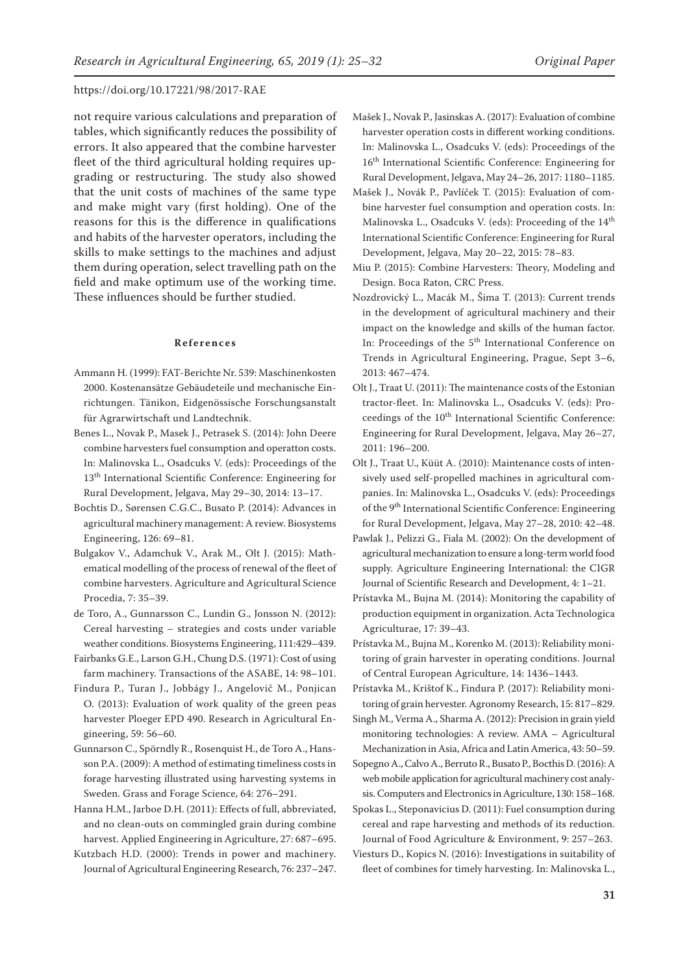not require various calculations and preparation of tables, which significantly reduces the possibility of errors. It also appeared that the combine harvester fleet of the third agricultural holding requires upgrading or restructuring. The study also showed that the unit costs of machines of the same type and make might vary (first holding). One of the reasons for this is the difference in qualifications and habits of the harvester operators, including the skills to make settings to the machines and adjust them during operation, select travelling path on the field and make optimum use of the working time. These influences should be further studied.

#### **References**

- Ammann H. (1999): FAT-Berichte Nr. 539: Maschinenkosten 2000. Kostenansätze Gebäudeteile und mechanische Einrichtungen. Tänikon, Eidgenössische Forschungsanstalt für Agrarwirtschaft und Landtechnik.
- Benes L., Novak P., Masek J., Petrasek S. (2014): John Deere combine harvesters fuel consumption and operatton costs. In: Malinovska L., Osadcuks V. (eds): Proceedings of the 13<sup>th</sup> International Scientific Conference: Engineering for Rural Development, Jelgava, May 29–30, 2014: 13–17.
- Bochtis D., Sørensen C.G.C., Busato P. (2014): Advances in agricultural machinery management: A review. Biosystems Engineering, 126: 69–81.
- Bulgakov V., Adamchuk V., Arak M., Olt J. (2015): Mathematical modelling of the process of renewal of the fleet of combine harvesters. Agriculture and Agricultural Science Procedia, 7: 35–39.
- de Toro, A., Gunnarsson C., Lundin G., Jonsson N. (2012): Cereal harvesting – strategies and costs under variable weather conditions. Biosystems Engineering, 111:429–439.
- Fairbanks G.E., Larson G.H., Chung D.S. (1971): Cost of using farm machinery. Transactions of the ASABE, 14: 98–101.
- Findura P., Turan J., Jobbágy J., Angelovič M., Ponjican O. (2013): Evaluation of work quality of the green peas harvester Ploeger EPD 490. Research in Agricultural Engineering, 59: 56–60.
- Gunnarson C., Spörndly R., Rosenquist H., de Toro A., Hansson P.A. (2009): A method of estimating timeliness costs in forage harvesting illustrated using harvesting systems in Sweden. Grass and Forage Science, 64: 276–291.
- Hanna H.M., Jarboe D.H. (2011): Effects of full, abbreviated, and no clean-outs on commingled grain during combine harvest. Applied Engineering in Agriculture, 27: 687–695.
- Kutzbach H.D. (2000): Trends in power and machinery. Journal of Agricultural Engineering Research, 76: 237–247.
- Mašek J., Novak P., Jasinskas A. (2017): Evaluation of combine harvester operation costs in different working conditions. In: Malinovska L., Osadcuks V. (eds): Proceedings of the 16th International Scientific Conference: Engineering for Rural Development, Jelgava, May 24–26, 2017: 1180–1185.
- Mašek J., Novák P., Pavlíček T. (2015): Evaluation of combine harvester fuel consumption and operation costs. In: Malinovska L., Osadcuks V. (eds): Proceeding of the 14<sup>th</sup> International Scientific Conference: Engineering for Rural Development, Jelgava, May 20–22, 2015: 78–83.
- Miu P. (2015): Combine Harvesters: Theory, Modeling and Design. Boca Raton, CRC Press.
- Nozdrovický L., Macák M., Šima T. (2013): Current trends in the development of agricultural machinery and their impact on the knowledge and skills of the human factor. In: Proceedings of the 5<sup>th</sup> International Conference on Trends in Agricultural Engineering, Prague, Sept 3–6, 2013: 467–474.
- Olt J., Traat U. (2011): The maintenance costs of the Estonian tractor-fleet. In: Malinovska L., Osadcuks V. (eds): Proceedings of the 10<sup>th</sup> International Scientific Conference: Engineering for Rural Development, Jelgava, May 26–27, 2011: 196–200.
- Olt J., Traat U., Küüt A. (2010): Maintenance costs of intensively used self-propelled machines in agricultural companies. In: Malinovska L., Osadcuks V. (eds): Proceedings of the 9<sup>th</sup> International Scientific Conference: Engineering for Rural Development, Jelgava, May 27–28, 2010: 42–48.
- Pawlak J., Pelizzi G., Fiala M. (2002): On the development of agricultural mechanization to ensure a long-term world food supply. Agriculture Engineering International: the CIGR Journal of Scientific Research and Development, 4: 1–21.
- Prístavka M., Bujna M. (2014): Monitoring the capability of production equipment in organization. Acta Technologica Agriculturae, 17: 39–43.
- Prístavka M., Bujna M., Korenko M. (2013): Reliability monitoring of grain harvester in operating conditions. Journal of Central European Agriculture, 14: 1436–1443.
- Prístavka M., Krištof K., Findura P. (2017): Reliability monitoring of grain hervester. Agronomy Research, 15: 817–829.
- Singh M., Verma A., Sharma A. (2012): Precision in grain yield monitoring technologies: A review. AMA – Agricultural Mechanization in Asia, Africa and Latin America, 43: 50–59.
- Sopegno A., Calvo A., Berruto R., Busato P., Bocthis D. (2016): A web mobile application for agricultural machinery cost analysis. Computers and Electronics in Agriculture, 130: 158–168.
- Spokas L., Steponavicius D. (2011): Fuel consumption during cereal and rape harvesting and methods of its reduction. Journal of Food Agriculture & Environment, 9: 257–263.
- Viesturs D., Kopics N. (2016): Investigations in suitability of fleet of combines for timely harvesting. In: Malinovska L.,